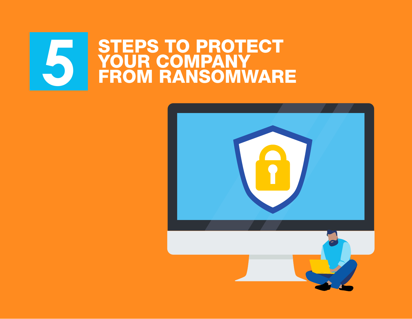## **5 STEPS TO PROTECT<br>PROM COMPANY<br>FROM RANSOMWARE** YOUR COMPANY FROM RANSOMWARE

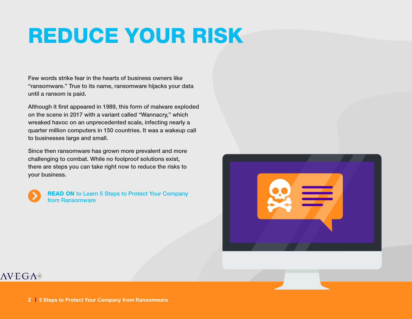# REDUCE YOUR RISK

Few words strike fear in the hearts of business owners like "ransomware." True to its name, ransomware hijacks your data until a ransom is paid.

Although it first appeared in 1989, this form of malware exploded on the scene in 2017 with a variant called "Wannacry," which wreaked havoc on an unprecedented scale, infecting nearly a quarter million computers in 150 countries. It was a wakeup call to businesses large and small.

Since then ransomware has grown more prevalent and more challenging to combat. While no foolproof solutions exist, there are steps you can take right now to reduce the risks to your business.



READ ON to Learn 5 Steps to Protect Your Company from Ransomware

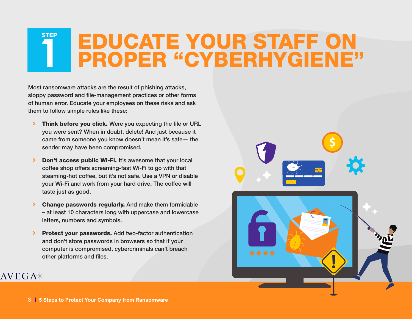## EDUCATE YOUR STAFF ON **1** PROPER "CYBERHYGIENE" **STEP**

Most ransomware attacks are the result of phishing attacks, sloppy password and file-management practices or other forms of human error. Educate your employees on these risks and ask them to follow simple rules like these:

- > Think before you click. Were you expecting the file or URL you were sent? When in doubt, delete! And just because it came from someone you know doesn't mean it's safe— the sender may have been compromised.
- Don't access public Wi-Fi. It's awesome that your local coffee shop offers screaming-fast Wi-Fi to go with that steaming-hot coffee, but it's not safe. Use a VPN or disable your Wi-Fi and work from your hard drive. The coffee will taste just as good.
- Change passwords regularly. And make them formidable – at least 10 characters long with uppercase and lowercase letters, numbers and symbols.
- **> Protect your passwords.** Add two-factor authentication and don't store passwords in browsers so that if your computer is compromised, cybercriminals can't breach other platforms and files.

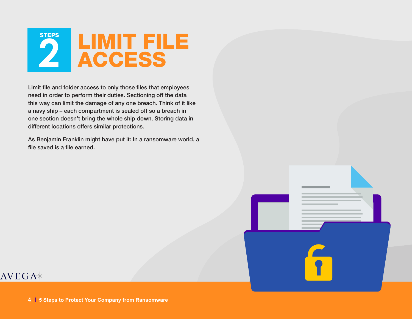

Limit file and folder access to only those files that employees need in order to perform their duties. Sectioning off the data this way can limit the damage of any one breach. Think of it like a navy ship – each compartment is sealed off so a breach in one section doesn't bring the whole ship down. Storing data in different locations offers similar protections.

As Benjamin Franklin might have put it: In a ransomware world, a file saved is a file earned.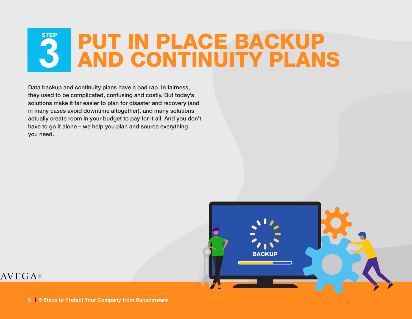## PUT IN PLACE BACKUP<br>AND CONTINUITY PLANS **STEP**

Data backup and continuity plans have a bad rap. In fairness, they used to be complicated, confusing and costly. But today's solutions make it far easier to plan for disaster and recovery (and in many cases avoid downtime altogether), and many solutions actually create room in your budget to pay for it all. And you don't have to go it alone – we help you plan and source everything you need.

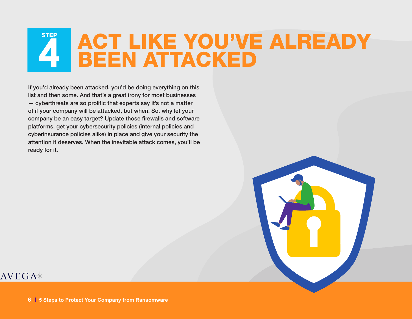### **4 TEP ACT LIKE YOU'VE ALREADY** BEEN ATTACKED

If you'd already been attacked, you'd be doing everything on this list and then some. And that's a great irony for most businesses — cyberthreats are so prolific that experts say it's not a matter of if your company will be attacked, but when. So, why let your company be an easy target? Update those firewalls and software platforms, get your cybersecurity policies (internal policies and cyberinsurance policies alike) in place and give your security the attention it deserves. When the inevitable attack comes, you'll be ready for it.

#### $\triangle VEGA\ast$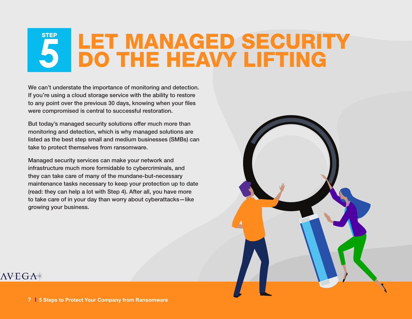### **5 LET MANAGED SECURITY<br>5 DO THE HEAVY LIFTING STEP**

We can't understate the importance of monitoring and detection. If you're using a cloud storage service with the ability to restore to any point over the previous 30 days, knowing when your files were compromised is central to successful restoration.

But today's managed security solutions offer much more than monitoring and detection, which is why managed solutions are listed as the best step small and medium businesses (SMBs) can take to protect themselves from ransomware.

Managed security services can make your network and infrastructure much more formidable to cybercriminals, and they can take care of many of the mundane-but-necessary maintenance tasks necessary to keep your protection up to date (read: they can help a lot with Step 4). After all, you have more to take care of in your day than worry about cyberattacks—like growing your business.

#### $\triangle VEGA\ast$